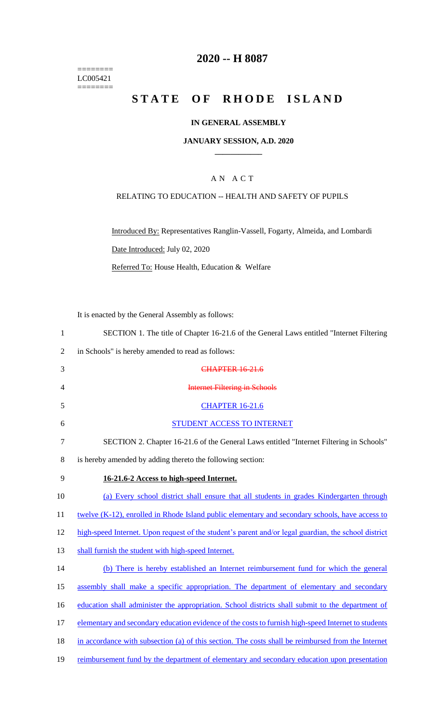======== LC005421  $=$ 

## **2020 -- H 8087**

# **STATE OF RHODE ISLAND**

### **IN GENERAL ASSEMBLY**

#### **JANUARY SESSION, A.D. 2020 \_\_\_\_\_\_\_\_\_\_\_\_**

### A N A C T

### RELATING TO EDUCATION -- HEALTH AND SAFETY OF PUPILS

Introduced By: Representatives Ranglin-Vassell, Fogarty, Almeida, and Lombardi Date Introduced: July 02, 2020 Referred To: House Health, Education & Welfare

It is enacted by the General Assembly as follows:

| $\mathbf{1}$ | SECTION 1. The title of Chapter 16-21.6 of the General Laws entitled "Internet Filtering"            |
|--------------|------------------------------------------------------------------------------------------------------|
| 2            | in Schools" is hereby amended to read as follows:                                                    |
| 3            | <b>CHAPTER 16-21.6</b>                                                                               |
| 4            | <b>Internet Filtering in Schools</b>                                                                 |
| 5            | <b>CHAPTER 16-21.6</b>                                                                               |
| 6            | STUDENT ACCESS TO INTERNET                                                                           |
| $\tau$       | SECTION 2. Chapter 16-21.6 of the General Laws entitled "Internet Filtering in Schools"              |
| 8            | is hereby amended by adding thereto the following section:                                           |
| 9            | 16-21.6-2 Access to high-speed Internet.                                                             |
| 10           | (a) Every school district shall ensure that all students in grades Kindergarten through              |
| 11           | twelve (K-12), enrolled in Rhode Island public elementary and secondary schools, have access to      |
| 12           | high-speed Internet. Upon request of the student's parent and/or legal guardian, the school district |
| 13           | shall furnish the student with high-speed Internet.                                                  |
| 14           | (b) There is hereby established an Internet reimbursement fund for which the general                 |
| 15           | assembly shall make a specific appropriation. The department of elementary and secondary             |
| 16           | education shall administer the appropriation. School districts shall submit to the department of     |
| 17           | elementary and secondary education evidence of the costs to furnish high-speed Internet to students  |
| 18           | in accordance with subsection (a) of this section. The costs shall be reimbursed from the Internet   |
| 19           | reimbursement fund by the department of elementary and secondary education upon presentation         |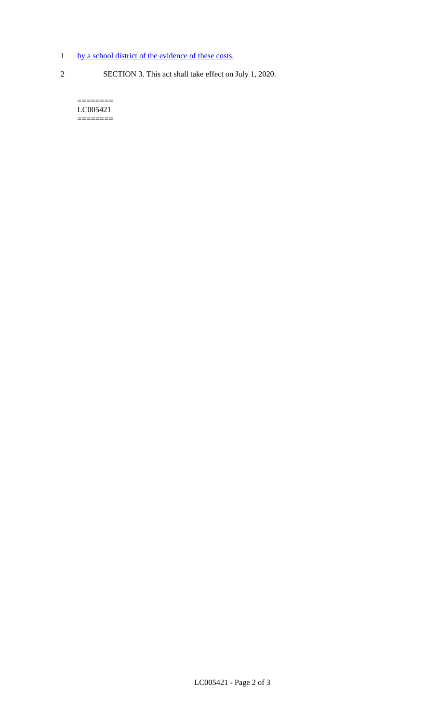- 1 by a school district of the evidence of these costs.
- 
- 2 SECTION 3. This act shall take effect on July 1, 2020.

======== LC005421 ========